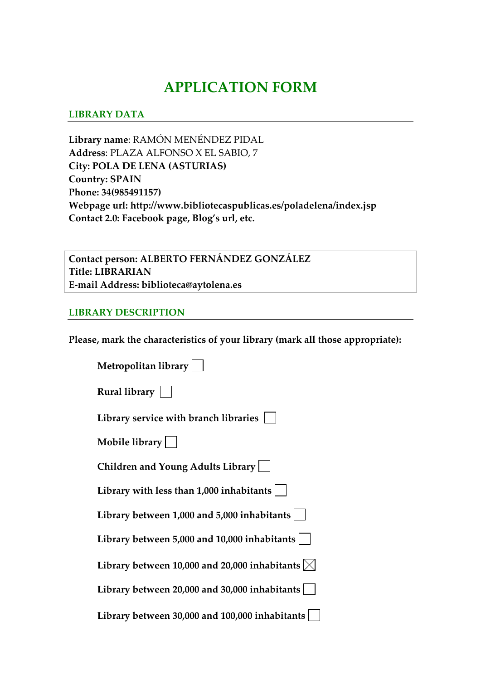# **APPLICATION FORM**

### **LIBRARY DATA**

**Library name**: RAMÓN MENÉNDEZ PIDAL **Address**: PLAZA ALFONSO X EL SABIO, 7 **City: POLA DE LENA (ASTURIAS) Country: SPAIN Phone: 34(985491157) Webpage url: http://www.bibliotecaspublicas.es/poladelena/index.jsp Contact 2.0: Facebook page, Blog's url, etc.** 

**Contact person: ALBERTO FERNÁNDEZ GONZÁLEZ Title: LIBRARIAN E‐mail Address: biblioteca@aytolena.es**

#### **LIBRARY DESCRIPTION**

**Please, mark the characteristics of your library (mark all those appropriate):**

| Metropolitan library                                      |
|-----------------------------------------------------------|
| Rural library                                             |
| Library service with branch libraries                     |
| Mobile library $\vert$ $\vert$                            |
| Children and Young Adults Library                         |
| Library with less than $1,000$ inhabitants $ $            |
| Library between 1,000 and 5,000 inhabitants               |
| Library between 5,000 and 10,000 inhabitants              |
| Library between 10,000 and 20,000 inhabitants $\boxtimes$ |
| Library between 20,000 and 30,000 inhabitants             |
| Library between 30,000 and 100,000 inhabitants            |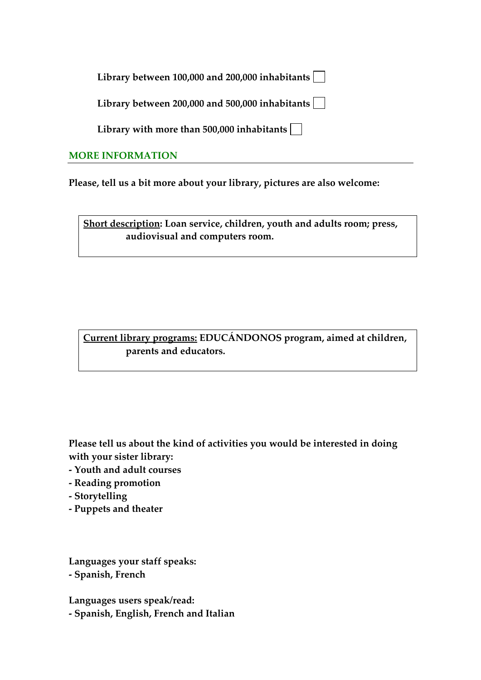**Library between 100,000 and 200,000 inhabitants**

**Library between 200,000 and 500,000 inhabitants**

**Library with more than 500,000 inhabitants**

## **MORE INFORMATION**

**Please, tell us a bit more about your library, pictures are also welcome:** 

**Short description: Loan service, children, youth and adults room; press, audiovisual and computers room.**

**Current library programs: EDUCÁNDONOS program, aimed at children, parents and educators.** 

**Please tell us about the kind of activities you would be interested in doing with your sister library:**

- **‐ Youth and adult courses**
- **‐ Reading promotion**
- **‐ Storytelling**
- **‐ Puppets and theater**

**Languages your staff speaks: ‐ Spanish, French**

**Languages users speak/read: ‐ Spanish, English, French and Italian**